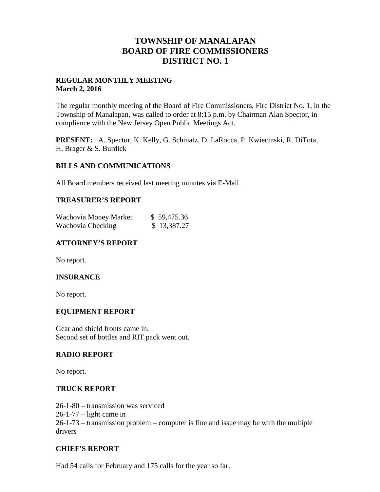# **TOWNSHIP OF MANALAPAN BOARD OF FIRE COMMISSIONERS DISTRICT NO. 1**

## **REGULAR MONTHLY MEETING March 2, 2016**

The regular monthly meeting of the Board of Fire Commissioners, Fire District No. 1, in the Township of Manalapan, was called to order at 8:15 p.m. by Chairman Alan Spector, in compliance with the New Jersey Open Public Meetings Act.

**PRESENT:** A. Spector, K. Kelly, G. Schmatz, D. LaRocca, P. Kwiecinski, R. DiTota, H. Brager & S. Burdick

### **BILLS AND COMMUNICATIONS**

All Board members received last meeting minutes via E-Mail.

#### **TREASURER'S REPORT**

| Wachovia Money Market | \$59,475.36 |
|-----------------------|-------------|
| Wachovia Checking     | \$13,387.27 |

## **ATTORNEY'S REPORT**

No report.

### **INSURANCE**

No report.

### **EQUIPMENT REPORT**

Gear and shield fronts came in. Second set of bottles and RIT pack went out.

#### **RADIO REPORT**

No report.

#### **TRUCK REPORT**

26-1-80 – transmission was serviced 26-1-77 – light came in 26-1-73 – transmission problem – computer is fine and issue may be with the multiple drivers

#### **CHIEF'S REPORT**

Had 54 calls for February and 175 calls for the year so far.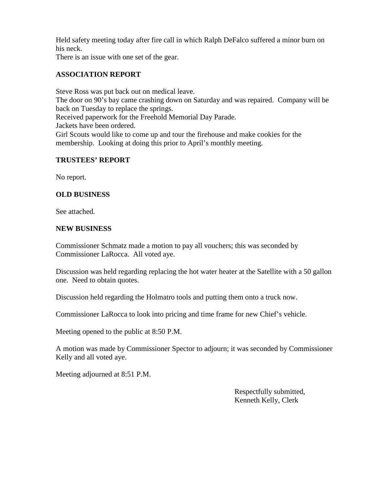Held safety meeting today after fire call in which Ralph DeFalco suffered a minor burn on his neck.

There is an issue with one set of the gear.

# **ASSOCIATION REPORT**

Steve Ross was put back out on medical leave. The door on 90's bay came crashing down on Saturday and was repaired. Company will be back on Tuesday to replace the springs. Received paperwork for the Freehold Memorial Day Parade. Jackets have been ordered. Girl Scouts would like to come up and tour the firehouse and make cookies for the membership. Looking at doing this prior to April's monthly meeting.

# **TRUSTEES' REPORT**

No report.

## **OLD BUSINESS**

See attached.

## **NEW BUSINESS**

Commissioner Schmatz made a motion to pay all vouchers; this was seconded by Commissioner LaRocca. All voted aye.

Discussion was held regarding replacing the hot water heater at the Satellite with a 50 gallon one. Need to obtain quotes.

Discussion held regarding the Holmatro tools and putting them onto a truck now.

Commissioner LaRocca to look into pricing and time frame for new Chief's vehicle.

Meeting opened to the public at 8:50 P.M.

A motion was made by Commissioner Spector to adjourn; it was seconded by Commissioner Kelly and all voted aye.

Meeting adjourned at 8:51 P.M.

Respectfully submitted, Kenneth Kelly, Clerk